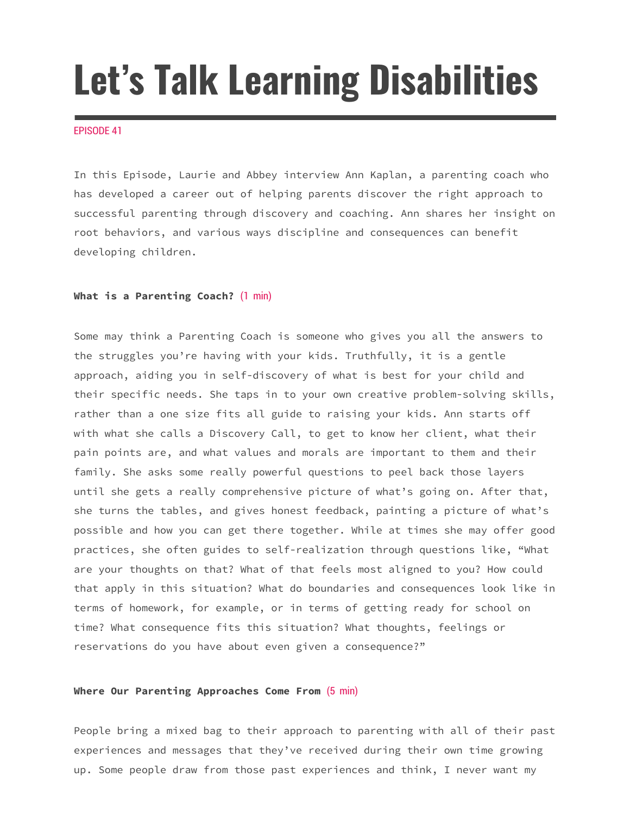# **Let's Talk Learning Disabilities**

#### EPISODE 41

In this Episode, Laurie and Abbey interview Ann Kaplan, a parenting coach who has developed a career out of helping parents discover the right approach to successful parenting through discovery and coaching. Ann shares her insight on root behaviors, and various ways discipline and consequences can benefit developing children.

### **What is a Parenting Coach?** (1 min)

Some may think a Parenting Coach is someone who gives you all the answers to the struggles you're having with your kids. Truthfully, it is a gentle approach, aiding you in self-discovery of what is best for your child and their specific needs. She taps in to your own creative problem-solving skills, rather than a one size fits all guide to raising your kids. Ann starts off with what she calls a Discovery Call, to get to know her client, what their pain points are, and what values and morals are important to them and their family. She asks some really powerful questions to peel back those layers until she gets a really comprehensive picture of what's going on. After that, she turns the tables, and gives honest feedback, painting a picture of what's possible and how you can get there together. While at times she may offer good practices, she often guides to self-realization through questions like, "What are your thoughts on that? What of that feels most aligned to you? How could that apply in this situation? What do boundaries and consequences look like in terms of homework, for example, or in terms of getting ready for school on time? What consequence fits this situation? What thoughts, feelings or reservations do you have about even given a consequence?"

# **Where Our Parenting Approaches Come From** (5 min)

People bring a mixed bag to their approach to parenting with all of their past experiences and messages that they've received during their own time growing up. Some people draw from those past experiences and think, I never want my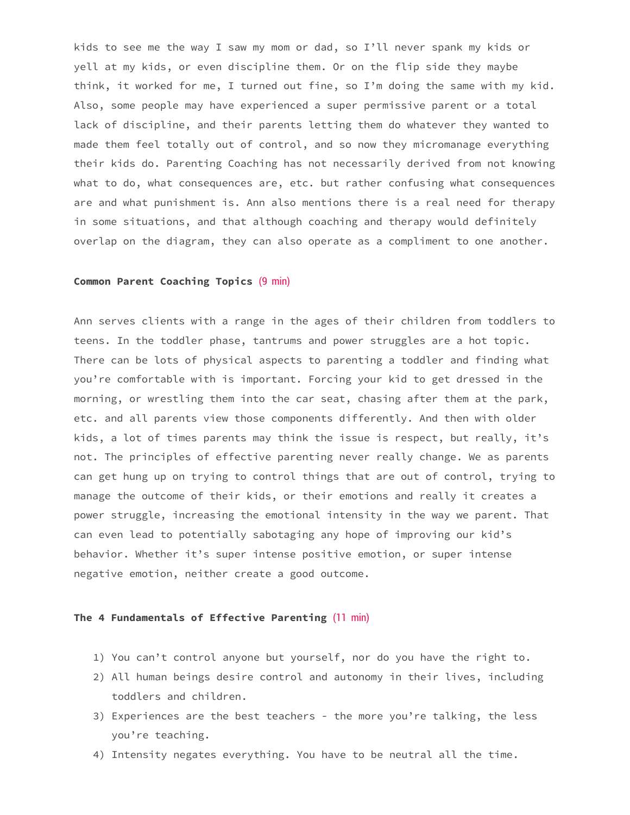kids to see me the way I saw my mom or dad, so I'll never spank my kids or yell at my kids, or even discipline them. Or on the flip side they maybe think, it worked for me, I turned out fine, so I'm doing the same with my kid. Also, some people may have experienced a super permissive parent or a total lack of discipline, and their parents letting them do whatever they wanted to made them feel totally out of control, and so now they micromanage everything their kids do. Parenting Coaching has not necessarily derived from not knowing what to do, what consequences are, etc. but rather confusing what consequences are and what punishment is. Ann also mentions there is a real need for therapy in some situations, and that although coaching and therapy would definitely overlap on the diagram, they can also operate as a compliment to one another.

#### **Common Parent Coaching Topics** (9 min)

Ann serves clients with a range in the ages of their children from toddlers to teens. In the toddler phase, tantrums and power struggles are a hot topic. There can be lots of physical aspects to parenting a toddler and finding what you're comfortable with is important. Forcing your kid to get dressed in the morning, or wrestling them into the car seat, chasing after them at the park, etc. and all parents view those components differently. And then with older kids, a lot of times parents may think the issue is respect, but really, it's not. The principles of effective parenting never really change. We as parents can get hung up on trying to control things that are out of control, trying to manage the outcome of their kids, or their emotions and really it creates a power struggle, increasing the emotional intensity in the way we parent. That can even lead to potentially sabotaging any hope of improving our kid's behavior. Whether it's super intense positive emotion, or super intense negative emotion, neither create a good outcome.

### **The 4 Fundamentals of Effective Parenting** (11 min)

- 1) You can't control anyone but yourself, nor do you have the right to.
- 2) All human beings desire control and autonomy in their lives, including toddlers and children.
- 3) Experiences are the best teachers the more you're talking, the less you're teaching.
- 4) Intensity negates everything. You have to be neutral all the time.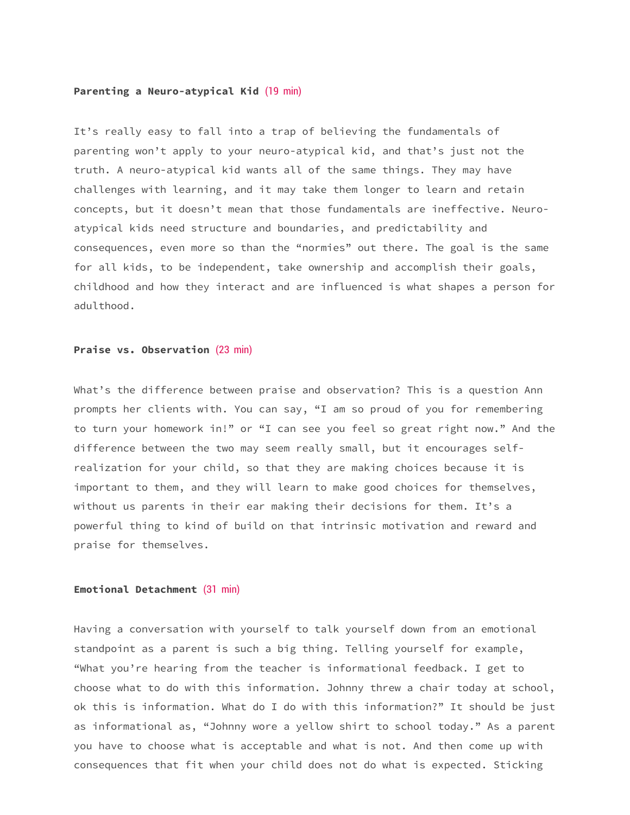#### **Parenting a Neuro-atypical Kid** (19 min)

It's really easy to fall into a trap of believing the fundamentals of parenting won't apply to your neuro-atypical kid, and that's just not the truth. A neuro-atypical kid wants all of the same things. They may have challenges with learning, and it may take them longer to learn and retain concepts, but it doesn't mean that those fundamentals are ineffective. Neuroatypical kids need structure and boundaries, and predictability and consequences, even more so than the "normies" out there. The goal is the same for all kids, to be independent, take ownership and accomplish their goals, childhood and how they interact and are influenced is what shapes a person for adulthood.

#### **Praise vs. Observation** (23 min)

What's the difference between praise and observation? This is a question Ann prompts her clients with. You can say, "I am so proud of you for remembering to turn your homework in!" or "I can see you feel so great right now." And the difference between the two may seem really small, but it encourages selfrealization for your child, so that they are making choices because it is important to them, and they will learn to make good choices for themselves, without us parents in their ear making their decisions for them. It's a powerful thing to kind of build on that intrinsic motivation and reward and praise for themselves.

# **Emotional Detachment** (31 min)

Having a conversation with yourself to talk yourself down from an emotional standpoint as a parent is such a big thing. Telling yourself for example, "What you're hearing from the teacher is informational feedback. I get to choose what to do with this information. Johnny threw a chair today at school, ok this is information. What do I do with this information?" It should be just as informational as, "Johnny wore a yellow shirt to school today." As a parent you have to choose what is acceptable and what is not. And then come up with consequences that fit when your child does not do what is expected. Sticking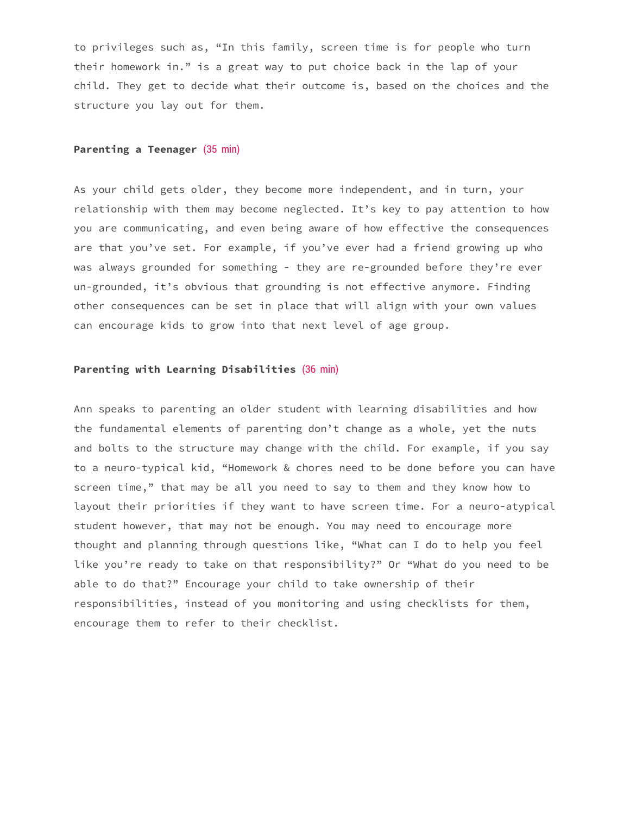to privileges such as, "In this family, screen time is for people who turn their homework in." is a great way to put choice back in the lap of your child. They get to decide what their outcome is, based on the choices and the structure you lay out for them.

#### **Parenting a Teenager** (35 min)

As your child gets older, they become more independent, and in turn, your relationship with them may become neglected. It's key to pay attention to how you are communicating, and even being aware of how effective the consequences are that you've set. For example, if you've ever had a friend growing up who was always grounded for something - they are re-grounded before they're ever un-grounded, it's obvious that grounding is not effective anymore. Finding other consequences can be set in place that will align with your own values can encourage kids to grow into that next level of age group.

# **Parenting with Learning Disabilities** (36 min)

Ann speaks to parenting an older student with learning disabilities and how the fundamental elements of parenting don't change as a whole, yet the nuts and bolts to the structure may change with the child. For example, if you say to a neuro-typical kid, "Homework & chores need to be done before you can have screen time," that may be all you need to say to them and they know how to layout their priorities if they want to have screen time. For a neuro-atypical student however, that may not be enough. You may need to encourage more thought and planning through questions like, "What can I do to help you feel like you're ready to take on that responsibility?" Or "What do you need to be able to do that?" Encourage your child to take ownership of their responsibilities, instead of you monitoring and using checklists for them, encourage them to refer to their checklist.